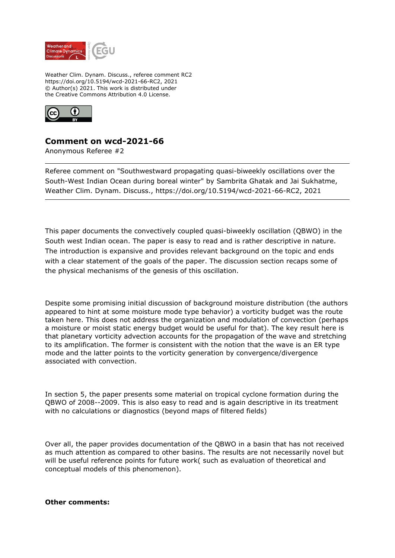

Weather Clim. Dynam. Discuss., referee comment RC2 https://doi.org/10.5194/wcd-2021-66-RC2, 2021 © Author(s) 2021. This work is distributed under the Creative Commons Attribution 4.0 License.



## **Comment on wcd-2021-66**

Anonymous Referee #2

Referee comment on "Southwestward propagating quasi-biweekly oscillations over the South-West Indian Ocean during boreal winter" by Sambrita Ghatak and Jai Sukhatme, Weather Clim. Dynam. Discuss., https://doi.org/10.5194/wcd-2021-66-RC2, 2021

This paper documents the convectively coupled quasi-biweekly oscillation (QBWO) in the South west Indian ocean. The paper is easy to read and is rather descriptive in nature. The introduction is expansive and provides relevant background on the topic and ends with a clear statement of the goals of the paper. The discussion section recaps some of the physical mechanisms of the genesis of this oscillation.

Despite some promising initial discussion of background moisture distribution (the authors appeared to hint at some moisture mode type behavior) a vorticity budget was the route taken here. This does not address the organization and modulation of convection (perhaps a moisture or moist static energy budget would be useful for that). The key result here is that planetary vorticity advection accounts for the propagation of the wave and stretching to its amplification. The former is consistent with the notion that the wave is an ER type mode and the latter points to the vorticity generation by convergence/divergence associated with convection.

In section 5, the paper presents some material on tropical cyclone formation during the QBWO of 2008--2009. This is also easy to read and is again descriptive in its treatment with no calculations or diagnostics (beyond maps of filtered fields)

Over all, the paper provides documentation of the QBWO in a basin that has not received as much attention as compared to other basins. The results are not necessarily novel but will be useful reference points for future work( such as evaluation of theoretical and conceptual models of this phenomenon).

## **Other comments:**